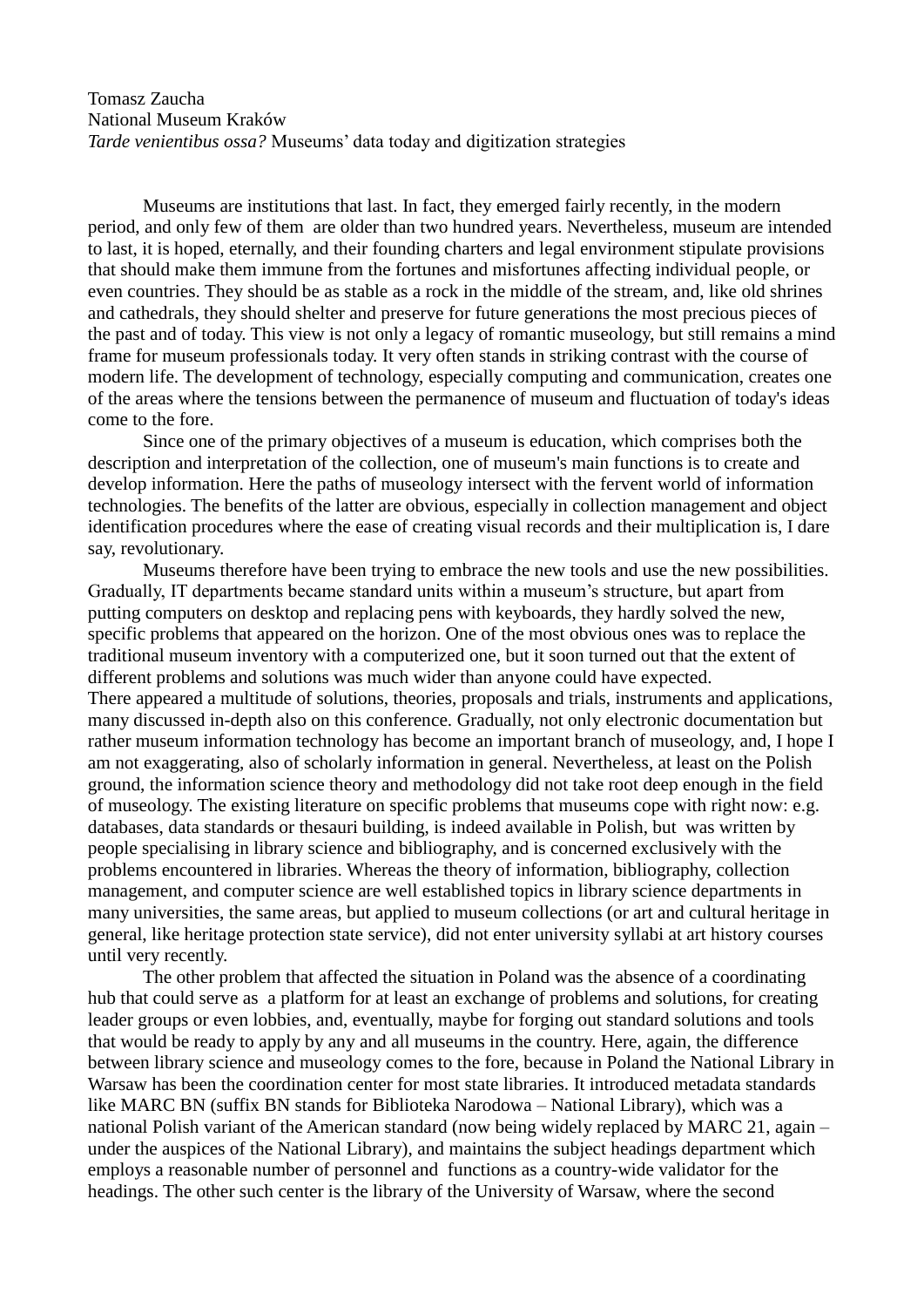Tomasz Zaucha National Museum Kraków *Tarde venientibus ossa?* Museums' data today and digitization strategies

Museums are institutions that last. In fact, they emerged fairly recently, in the modern period, and only few of them are older than two hundred years. Nevertheless, museum are intended to last, it is hoped, eternally, and their founding charters and legal environment stipulate provisions that should make them immune from the fortunes and misfortunes affecting individual people, or even countries. They should be as stable as a rock in the middle of the stream, and, like old shrines and cathedrals, they should shelter and preserve for future generations the most precious pieces of the past and of today. This view is not only a legacy of romantic museology, but still remains a mind frame for museum professionals today. It very often stands in striking contrast with the course of modern life. The development of technology, especially computing and communication, creates one of the areas where the tensions between the permanence of museum and fluctuation of today's ideas come to the fore.

Since one of the primary objectives of a museum is education, which comprises both the description and interpretation of the collection, one of museum's main functions is to create and develop information. Here the paths of museology intersect with the fervent world of information technologies. The benefits of the latter are obvious, especially in collection management and object identification procedures where the ease of creating visual records and their multiplication is, I dare say, revolutionary.

Museums therefore have been trying to embrace the new tools and use the new possibilities. Gradually, IT departments became standard units within a museum's structure, but apart from putting computers on desktop and replacing pens with keyboards, they hardly solved the new, specific problems that appeared on the horizon. One of the most obvious ones was to replace the traditional museum inventory with a computerized one, but it soon turned out that the extent of different problems and solutions was much wider than anyone could have expected. There appeared a multitude of solutions, theories, proposals and trials, instruments and applications, many discussed in-depth also on this conference. Gradually, not only electronic documentation but rather museum information technology has become an important branch of museology, and, I hope I am not exaggerating, also of scholarly information in general. Nevertheless, at least on the Polish ground, the information science theory and methodology did not take root deep enough in the field of museology. The existing literature on specific problems that museums cope with right now: e.g. databases, data standards or thesauri building, is indeed available in Polish, but was written by people specialising in library science and bibliography, and is concerned exclusively with the problems encountered in libraries. Whereas the theory of information, bibliography, collection management, and computer science are well established topics in library science departments in many universities, the same areas, but applied to museum collections (or art and cultural heritage in general, like heritage protection state service), did not enter university syllabi at art history courses until very recently.

The other problem that affected the situation in Poland was the absence of a coordinating hub that could serve as a platform for at least an exchange of problems and solutions, for creating leader groups or even lobbies, and, eventually, maybe for forging out standard solutions and tools that would be ready to apply by any and all museums in the country. Here, again, the difference between library science and museology comes to the fore, because in Poland the National Library in Warsaw has been the coordination center for most state libraries. It introduced metadata standards like MARC BN (suffix BN stands for Biblioteka Narodowa – National Library), which was a national Polish variant of the American standard (now being widely replaced by MARC 21, again – under the auspices of the National Library), and maintains the subject headings department which employs a reasonable number of personnel and functions as a country-wide validator for the headings. The other such center is the library of the University of Warsaw, where the second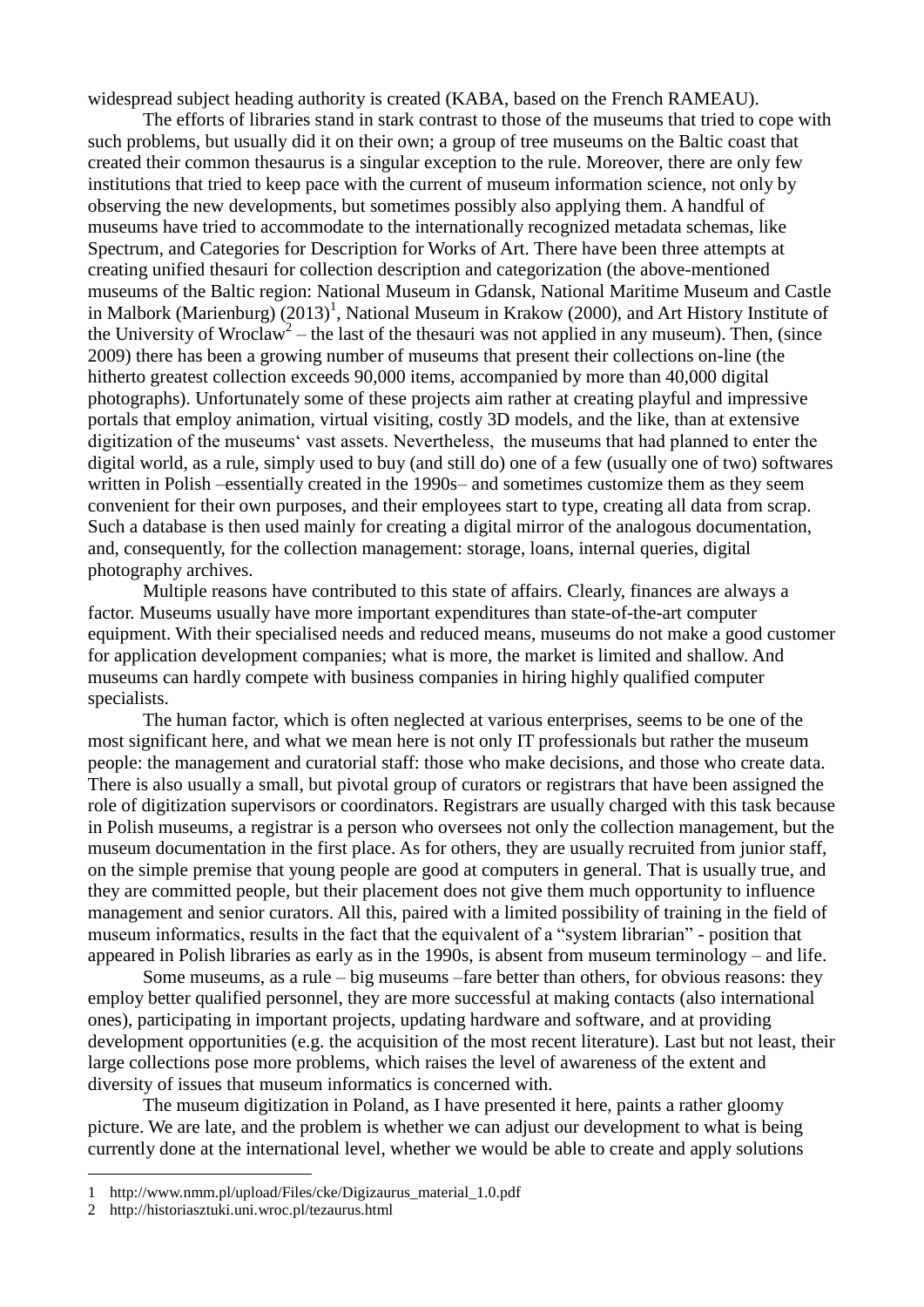widespread subject heading authority is created (KABA, based on the French RAMEAU).

The efforts of libraries stand in stark contrast to those of the museums that tried to cope with such problems, but usually did it on their own; a group of tree museums on the Baltic coast that created their common thesaurus is a singular exception to the rule. Moreover, there are only few institutions that tried to keep pace with the current of museum information science, not only by observing the new developments, but sometimes possibly also applying them. A handful of museums have tried to accommodate to the internationally recognized metadata schemas, like Spectrum, and Categories for Description for Works of Art. There have been three attempts at creating unified thesauri for collection description and categorization (the above-mentioned museums of the Baltic region: National Museum in Gdansk, National Maritime Museum and Castle in Malbork (Marienburg)  $(2013)^1$ , National Museum in Krakow (2000), and Art History Institute of the University of Wroclaw<sup>2</sup> – the last of the thesauri was not applied in any museum). Then, (since 2009) there has been a growing number of museums that present their collections on-line (the hitherto greatest collection exceeds 90,000 items, accompanied by more than 40,000 digital photographs). Unfortunately some of these projects aim rather at creating playful and impressive portals that employ animation, virtual visiting, costly 3D models, and the like, than at extensive digitization of the museums' vast assets. Nevertheless, the museums that had planned to enter the digital world, as a rule, simply used to buy (and still do) one of a few (usually one of two) softwares written in Polish –essentially created in the 1990s– and sometimes customize them as they seem convenient for their own purposes, and their employees start to type, creating all data from scrap. Such a database is then used mainly for creating a digital mirror of the analogous documentation, and, consequently, for the collection management: storage, loans, internal queries, digital photography archives.

Multiple reasons have contributed to this state of affairs. Clearly, finances are always a factor. Museums usually have more important expenditures than state-of-the-art computer equipment. With their specialised needs and reduced means, museums do not make a good customer for application development companies; what is more, the market is limited and shallow. And museums can hardly compete with business companies in hiring highly qualified computer specialists.

The human factor, which is often neglected at various enterprises, seems to be one of the most significant here, and what we mean here is not only IT professionals but rather the museum people: the management and curatorial staff: those who make decisions, and those who create data. There is also usually a small, but pivotal group of curators or registrars that have been assigned the role of digitization supervisors or coordinators. Registrars are usually charged with this task because in Polish museums, a registrar is a person who oversees not only the collection management, but the museum documentation in the first place. As for others, they are usually recruited from junior staff, on the simple premise that young people are good at computers in general. That is usually true, and they are committed people, but their placement does not give them much opportunity to influence management and senior curators. All this, paired with a limited possibility of training in the field of museum informatics, results in the fact that the equivalent of a "system librarian" - position that appeared in Polish libraries as early as in the 1990s, is absent from museum terminology – and life.

Some museums, as a rule – big museums –fare better than others, for obvious reasons: they employ better qualified personnel, they are more successful at making contacts (also international ones), participating in important projects, updating hardware and software, and at providing development opportunities (e.g. the acquisition of the most recent literature). Last but not least, their large collections pose more problems, which raises the level of awareness of the extent and diversity of issues that museum informatics is concerned with.

The museum digitization in Poland, as I have presented it here, paints a rather gloomy picture. We are late, and the problem is whether we can adjust our development to what is being currently done at the international level, whether we would be able to create and apply solutions

1

<sup>1</sup> http://www.nmm.pl/upload/Files/cke/Digizaurus\_material\_1.0.pdf

<sup>2</sup> http://historiasztuki.uni.wroc.pl/tezaurus.html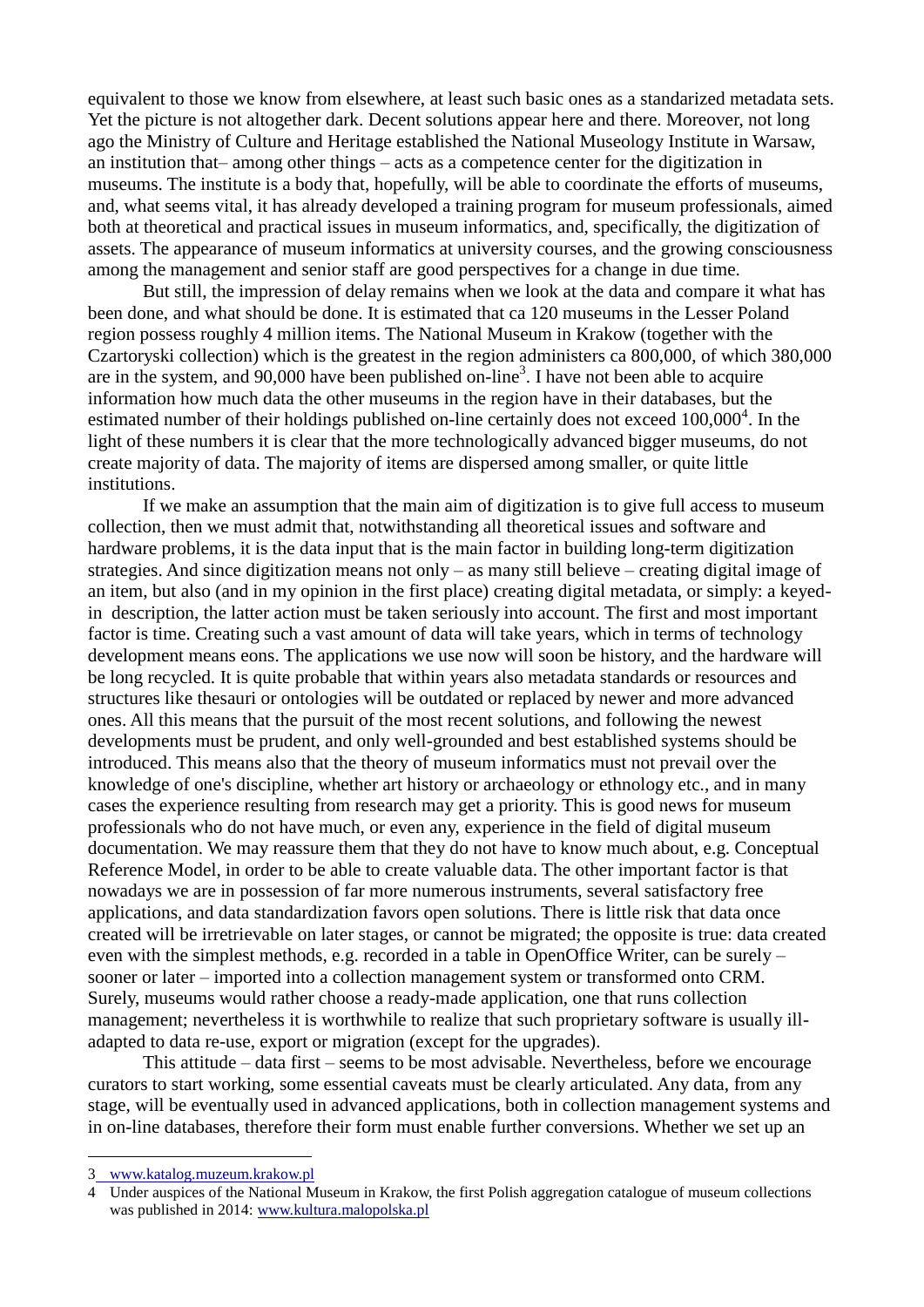equivalent to those we know from elsewhere, at least such basic ones as a standarized metadata sets. Yet the picture is not altogether dark. Decent solutions appear here and there. Moreover, not long ago the Ministry of Culture and Heritage established the National Museology Institute in Warsaw, an institution that– among other things – acts as a competence center for the digitization in museums. The institute is a body that, hopefully, will be able to coordinate the efforts of museums, and, what seems vital, it has already developed a training program for museum professionals, aimed both at theoretical and practical issues in museum informatics, and, specifically, the digitization of assets. The appearance of museum informatics at university courses, and the growing consciousness among the management and senior staff are good perspectives for a change in due time.

But still, the impression of delay remains when we look at the data and compare it what has been done, and what should be done. It is estimated that ca 120 museums in the Lesser Poland region possess roughly 4 million items. The National Museum in Krakow (together with the Czartoryski collection) which is the greatest in the region administers ca 800,000, of which 380,000 are in the system, and  $90,000$  have been published on-line<sup>3</sup>. I have not been able to acquire information how much data the other museums in the region have in their databases, but the estimated number of their holdings published on-line certainly does not exceed  $100,000<sup>4</sup>$ . In the light of these numbers it is clear that the more technologically advanced bigger museums, do not create majority of data. The majority of items are dispersed among smaller, or quite little institutions.

If we make an assumption that the main aim of digitization is to give full access to museum collection, then we must admit that, notwithstanding all theoretical issues and software and hardware problems, it is the data input that is the main factor in building long-term digitization strategies. And since digitization means not only – as many still believe – creating digital image of an item, but also (and in my opinion in the first place) creating digital metadata, or simply: a keyedin description, the latter action must be taken seriously into account. The first and most important factor is time. Creating such a vast amount of data will take years, which in terms of technology development means eons. The applications we use now will soon be history, and the hardware will be long recycled. It is quite probable that within years also metadata standards or resources and structures like thesauri or ontologies will be outdated or replaced by newer and more advanced ones. All this means that the pursuit of the most recent solutions, and following the newest developments must be prudent, and only well-grounded and best established systems should be introduced. This means also that the theory of museum informatics must not prevail over the knowledge of one's discipline, whether art history or archaeology or ethnology etc., and in many cases the experience resulting from research may get a priority. This is good news for museum professionals who do not have much, or even any, experience in the field of digital museum documentation. We may reassure them that they do not have to know much about, e.g. Conceptual Reference Model, in order to be able to create valuable data. The other important factor is that nowadays we are in possession of far more numerous instruments, several satisfactory free applications, and data standardization favors open solutions. There is little risk that data once created will be irretrievable on later stages, or cannot be migrated; the opposite is true: data created even with the simplest methods, e.g. recorded in a table in OpenOffice Writer, can be surely – sooner or later – imported into a collection management system or transformed onto CRM. Surely, museums would rather choose a ready-made application, one that runs collection management; nevertheless it is worthwhile to realize that such proprietary software is usually illadapted to data re-use, export or migration (except for the upgrades).

This attitude – data first – seems to be most advisable. Nevertheless, before we encourage curators to start working, some essential caveats must be clearly articulated. Any data, from any stage, will be eventually used in advanced applications, both in collection management systems and in on-line databases, therefore their form must enable further conversions. Whether we set up an

<u>.</u>

<sup>3</sup> [www.katalog.muzeum.krakow.pl](http://www.katalog.muzeum.krakow.pl/)

<sup>4</sup> Under auspices of the National Museum in Krakow, the first Polish aggregation catalogue of museum collections was published in 2014: [www.kultura.malopolska.pl](http://www.kultura.malopolska.pl/)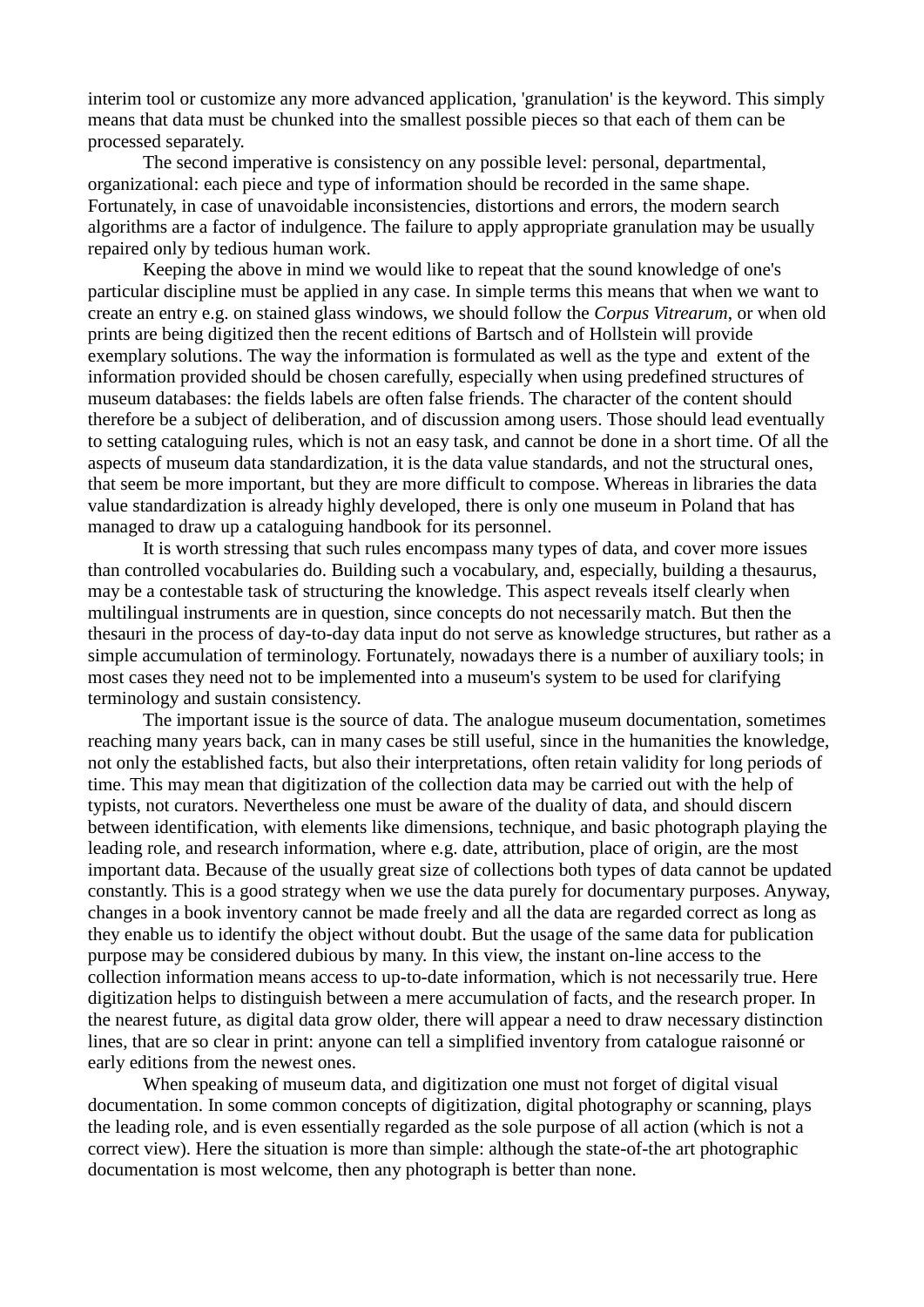interim tool or customize any more advanced application, 'granulation' is the keyword. This simply means that data must be chunked into the smallest possible pieces so that each of them can be processed separately.

The second imperative is consistency on any possible level: personal, departmental, organizational: each piece and type of information should be recorded in the same shape. Fortunately, in case of unavoidable inconsistencies, distortions and errors, the modern search algorithms are a factor of indulgence. The failure to apply appropriate granulation may be usually repaired only by tedious human work.

Keeping the above in mind we would like to repeat that the sound knowledge of one's particular discipline must be applied in any case. In simple terms this means that when we want to create an entry e.g. on stained glass windows, we should follow the *Corpus Vitrearum*, or when old prints are being digitized then the recent editions of Bartsch and of Hollstein will provide exemplary solutions. The way the information is formulated as well as the type and extent of the information provided should be chosen carefully, especially when using predefined structures of museum databases: the fields labels are often false friends. The character of the content should therefore be a subject of deliberation, and of discussion among users. Those should lead eventually to setting cataloguing rules, which is not an easy task, and cannot be done in a short time. Of all the aspects of museum data standardization, it is the data value standards, and not the structural ones, that seem be more important, but they are more difficult to compose. Whereas in libraries the data value standardization is already highly developed, there is only one museum in Poland that has managed to draw up a cataloguing handbook for its personnel.

It is worth stressing that such rules encompass many types of data, and cover more issues than controlled vocabularies do. Building such a vocabulary, and, especially, building a thesaurus, may be a contestable task of structuring the knowledge. This aspect reveals itself clearly when multilingual instruments are in question, since concepts do not necessarily match. But then the thesauri in the process of day-to-day data input do not serve as knowledge structures, but rather as a simple accumulation of terminology. Fortunately, nowadays there is a number of auxiliary tools; in most cases they need not to be implemented into a museum's system to be used for clarifying terminology and sustain consistency.

The important issue is the source of data. The analogue museum documentation, sometimes reaching many years back, can in many cases be still useful, since in the humanities the knowledge, not only the established facts, but also their interpretations, often retain validity for long periods of time. This may mean that digitization of the collection data may be carried out with the help of typists, not curators. Nevertheless one must be aware of the duality of data, and should discern between identification, with elements like dimensions, technique, and basic photograph playing the leading role, and research information, where e.g. date, attribution, place of origin, are the most important data. Because of the usually great size of collections both types of data cannot be updated constantly. This is a good strategy when we use the data purely for documentary purposes. Anyway, changes in a book inventory cannot be made freely and all the data are regarded correct as long as they enable us to identify the object without doubt. But the usage of the same data for publication purpose may be considered dubious by many. In this view, the instant on-line access to the collection information means access to up-to-date information, which is not necessarily true. Here digitization helps to distinguish between a mere accumulation of facts, and the research proper. In the nearest future, as digital data grow older, there will appear a need to draw necessary distinction lines, that are so clear in print: anyone can tell a simplified inventory from catalogue raisonné or early editions from the newest ones.

When speaking of museum data, and digitization one must not forget of digital visual documentation. In some common concepts of digitization, digital photography or scanning, plays the leading role, and is even essentially regarded as the sole purpose of all action (which is not a correct view). Here the situation is more than simple: although the state-of-the art photographic documentation is most welcome, then any photograph is better than none.